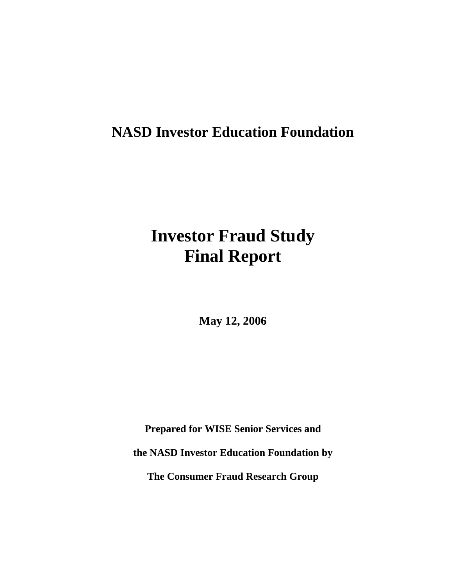# **NASD Investor Education Foundation**

# **Investor Fraud Study Final Report**

**May 12, 2006** 

**Prepared for WISE Senior Services and the NASD Investor Education Foundation by The Consumer Fraud Research Group**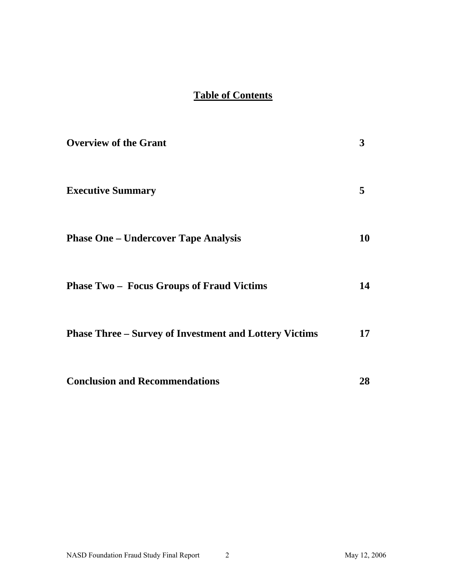## **Table of Contents**

| <b>Overview of the Grant</b>                                  | 3                |
|---------------------------------------------------------------|------------------|
| <b>Executive Summary</b>                                      | 5                |
| <b>Phase One – Undercover Tape Analysis</b>                   | 10               |
| <b>Phase Two – Focus Groups of Fraud Victims</b>              | 14               |
| <b>Phase Three – Survey of Investment and Lottery Victims</b> | 17 <sup>17</sup> |
| <b>Conclusion and Recommendations</b>                         | 28               |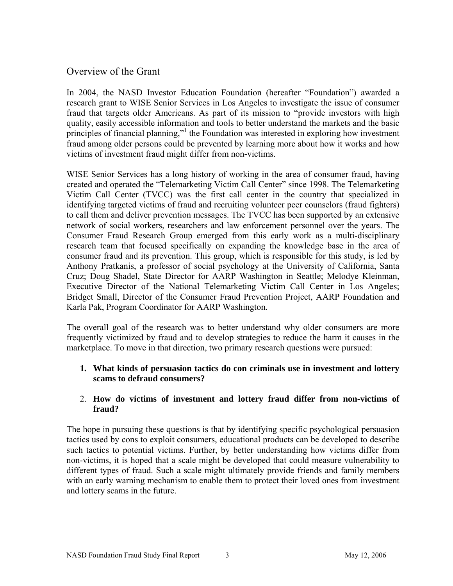## Overview of the Grant

In 2004, the NASD Investor Education Foundation (hereafter "Foundation") awarded a research grant to WISE Senior Services in Los Angeles to investigate the issue of consumer fraud that targets older Americans. As part of its mission to "provide investors with high quality, easily accessible information and tools to better understand the markets and the basic principles of financial planning,"<sup>1</sup> the Foundation was interested in exploring how investment fraud among older persons could be prevented by learning more about how it works and how victims of investment fraud might differ from non-victims.

WISE Senior Services has a long history of working in the area of consumer fraud, having created and operated the "Telemarketing Victim Call Center" since 1998. The Telemarketing Victim Call Center (TVCC) was the first call center in the country that specialized in identifying targeted victims of fraud and recruiting volunteer peer counselors (fraud fighters) to call them and deliver prevention messages. The TVCC has been supported by an extensive network of social workers, researchers and law enforcement personnel over the years. The Consumer Fraud Research Group emerged from this early work as a multi-disciplinary research team that focused specifically on expanding the knowledge base in the area of consumer fraud and its prevention. This group, which is responsible for this study, is led by Anthony Pratkanis, a professor of social psychology at the University of California, Santa Cruz; Doug Shadel, State Director for AARP Washington in Seattle; Melodye Kleinman, Executive Director of the National Telemarketing Victim Call Center in Los Angeles; Bridget Small, Director of the Consumer Fraud Prevention Project, AARP Foundation and Karla Pak, Program Coordinator for AARP Washington.

The overall goal of the research was to better understand why older consumers are more frequently victimized by fraud and to develop strategies to reduce the harm it causes in the marketplace. To move in that direction, two primary research questions were pursued:

#### **1. What kinds of persuasion tactics do con criminals use in investment and lottery scams to defraud consumers?**

#### 2. **How do victims of investment and lottery fraud differ from non-victims of fraud?**

The hope in pursuing these questions is that by identifying specific psychological persuasion tactics used by cons to exploit consumers, educational products can be developed to describe such tactics to potential victims. Further, by better understanding how victims differ from non-victims, it is hoped that a scale might be developed that could measure vulnerability to different types of fraud. Such a scale might ultimately provide friends and family members with an early warning mechanism to enable them to protect their loved ones from investment and lottery scams in the future.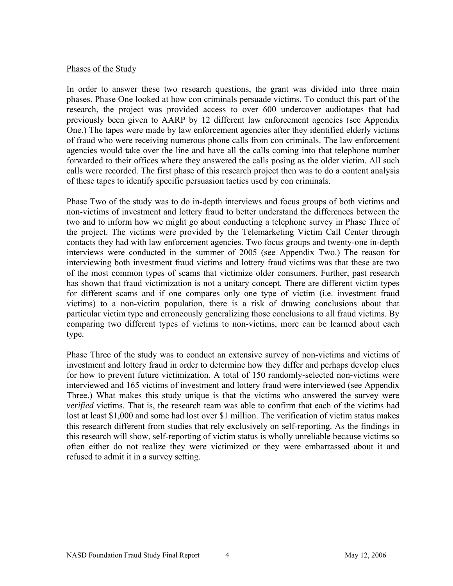#### Phases of the Study

In order to answer these two research questions, the grant was divided into three main phases. Phase One looked at how con criminals persuade victims. To conduct this part of the research, the project was provided access to over 600 undercover audiotapes that had previously been given to AARP by 12 different law enforcement agencies (see Appendix One.) The tapes were made by law enforcement agencies after they identified elderly victims of fraud who were receiving numerous phone calls from con criminals. The law enforcement agencies would take over the line and have all the calls coming into that telephone number forwarded to their offices where they answered the calls posing as the older victim. All such calls were recorded. The first phase of this research project then was to do a content analysis of these tapes to identify specific persuasion tactics used by con criminals.

Phase Two of the study was to do in-depth interviews and focus groups of both victims and non-victims of investment and lottery fraud to better understand the differences between the two and to inform how we might go about conducting a telephone survey in Phase Three of the project. The victims were provided by the Telemarketing Victim Call Center through contacts they had with law enforcement agencies. Two focus groups and twenty-one in-depth interviews were conducted in the summer of 2005 (see Appendix Two.) The reason for interviewing both investment fraud victims and lottery fraud victims was that these are two of the most common types of scams that victimize older consumers. Further, past research has shown that fraud victimization is not a unitary concept. There are different victim types for different scams and if one compares only one type of victim (i.e. investment fraud victims) to a non-victim population, there is a risk of drawing conclusions about that particular victim type and erroneously generalizing those conclusions to all fraud victims. By comparing two different types of victims to non-victims, more can be learned about each type.

Phase Three of the study was to conduct an extensive survey of non-victims and victims of investment and lottery fraud in order to determine how they differ and perhaps develop clues for how to prevent future victimization. A total of 150 randomly-selected non-victims were interviewed and 165 victims of investment and lottery fraud were interviewed (see Appendix Three.) What makes this study unique is that the victims who answered the survey were *verified* victims. That is, the research team was able to confirm that each of the victims had lost at least \$1,000 and some had lost over \$1 million. The verification of victim status makes this research different from studies that rely exclusively on self-reporting. As the findings in this research will show, self-reporting of victim status is wholly unreliable because victims so often either do not realize they were victimized or they were embarrassed about it and refused to admit it in a survey setting.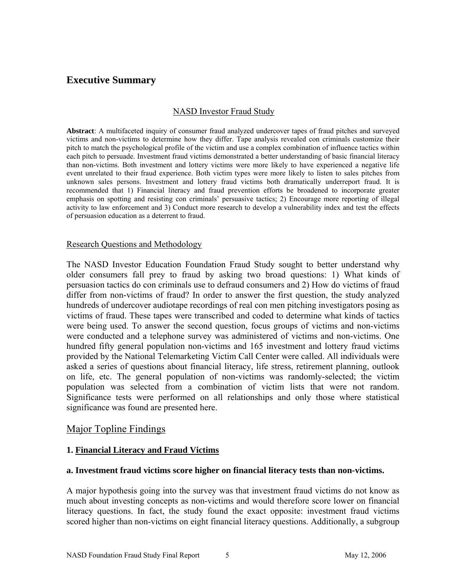## **Executive Summary**

#### NASD Investor Fraud Study

**Abstract**: A multifaceted inquiry of consumer fraud analyzed undercover tapes of fraud pitches and surveyed victims and non-victims to determine how they differ. Tape analysis revealed con criminals customize their pitch to match the psychological profile of the victim and use a complex combination of influence tactics within each pitch to persuade. Investment fraud victims demonstrated a better understanding of basic financial literacy than non-victims. Both investment and lottery victims were more likely to have experienced a negative life event unrelated to their fraud experience. Both victim types were more likely to listen to sales pitches from unknown sales persons. Investment and lottery fraud victims both dramatically underreport fraud. It is recommended that 1) Financial literacy and fraud prevention efforts be broadened to incorporate greater emphasis on spotting and resisting con criminals' persuasive tactics; 2) Encourage more reporting of illegal activity to law enforcement and 3) Conduct more research to develop a vulnerability index and test the effects of persuasion education as a deterrent to fraud.

#### Research Questions and Methodology

The NASD Investor Education Foundation Fraud Study sought to better understand why older consumers fall prey to fraud by asking two broad questions: 1) What kinds of persuasion tactics do con criminals use to defraud consumers and 2) How do victims of fraud differ from non-victims of fraud? In order to answer the first question, the study analyzed hundreds of undercover audiotape recordings of real con men pitching investigators posing as victims of fraud. These tapes were transcribed and coded to determine what kinds of tactics were being used. To answer the second question, focus groups of victims and non-victims were conducted and a telephone survey was administered of victims and non-victims. One hundred fifty general population non-victims and 165 investment and lottery fraud victims provided by the National Telemarketing Victim Call Center were called. All individuals were asked a series of questions about financial literacy, life stress, retirement planning, outlook on life, etc. The general population of non-victims was randomly-selected; the victim population was selected from a combination of victim lists that were not random. Significance tests were performed on all relationships and only those where statistical significance was found are presented here.

#### Major Topline Findings

#### **1. Financial Literacy and Fraud Victims**

#### **a. Investment fraud victims score higher on financial literacy tests than non-victims.**

A major hypothesis going into the survey was that investment fraud victims do not know as much about investing concepts as non-victims and would therefore score lower on financial literacy questions. In fact, the study found the exact opposite: investment fraud victims scored higher than non-victims on eight financial literacy questions. Additionally, a subgroup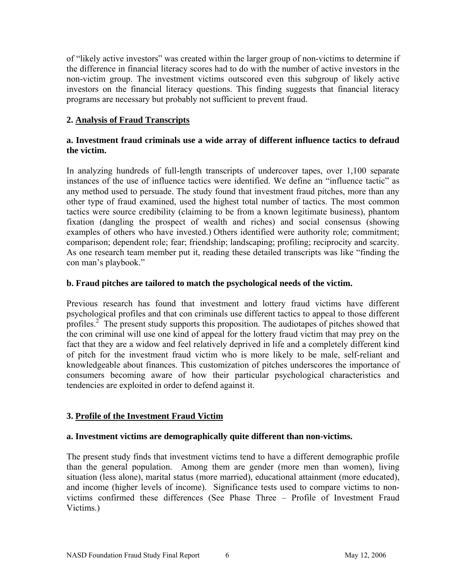of "likely active investors" was created within the larger group of non-victims to determine if the difference in financial literacy scores had to do with the number of active investors in the non-victim group. The investment victims outscored even this subgroup of likely active investors on the financial literacy questions. This finding suggests that financial literacy programs are necessary but probably not sufficient to prevent fraud.

#### **2. Analysis of Fraud Transcripts**

#### **a. Investment fraud criminals use a wide array of different influence tactics to defraud the victim.**

In analyzing hundreds of full-length transcripts of undercover tapes, over 1,100 separate instances of the use of influence tactics were identified. We define an "influence tactic" as any method used to persuade. The study found that investment fraud pitches, more than any other type of fraud examined, used the highest total number of tactics. The most common tactics were source credibility (claiming to be from a known legitimate business), phantom fixation (dangling the prospect of wealth and riches) and social consensus (showing examples of others who have invested.) Others identified were authority role; commitment; comparison; dependent role; fear; friendship; landscaping; profiling; reciprocity and scarcity. As one research team member put it, reading these detailed transcripts was like "finding the con man's playbook."

#### **b. Fraud pitches are tailored to match the psychological needs of the victim.**

Previous research has found that investment and lottery fraud victims have different psychological profiles and that con criminals use different tactics to appeal to those different profiles.<sup>2</sup> The present study supports this proposition. The audiotapes of pitches showed that the con criminal will use one kind of appeal for the lottery fraud victim that may prey on the fact that they are a widow and feel relatively deprived in life and a completely different kind of pitch for the investment fraud victim who is more likely to be male, self-reliant and knowledgeable about finances. This customization of pitches underscores the importance of consumers becoming aware of how their particular psychological characteristics and tendencies are exploited in order to defend against it.

#### **3. Profile of the Investment Fraud Victim**

#### **a. Investment victims are demographically quite different than non-victims.**

The present study finds that investment victims tend to have a different demographic profile than the general population. Among them are gender (more men than women), living situation (less alone), marital status (more married), educational attainment (more educated), and income (higher levels of income). Significance tests used to compare victims to nonvictims confirmed these differences (See Phase Three – Profile of Investment Fraud Victims.)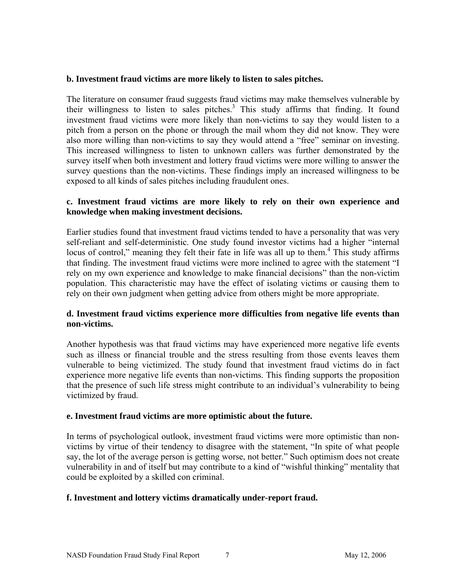#### **b. Investment fraud victims are more likely to listen to sales pitches.**

The literature on consumer fraud suggests fraud victims may make themselves vulnerable by their willingness to listen to sales pitches.<sup>3</sup> This study affirms that finding. It found investment fraud victims were more likely than non-victims to say they would listen to a pitch from a person on the phone or through the mail whom they did not know. They were also more willing than non-victims to say they would attend a "free" seminar on investing. This increased willingness to listen to unknown callers was further demonstrated by the survey itself when both investment and lottery fraud victims were more willing to answer the survey questions than the non-victims. These findings imply an increased willingness to be exposed to all kinds of sales pitches including fraudulent ones.

#### **c. Investment fraud victims are more likely to rely on their own experience and knowledge when making investment decisions.**

Earlier studies found that investment fraud victims tended to have a personality that was very self-reliant and self-deterministic. One study found investor victims had a higher "internal locus of control," meaning they felt their fate in life was all up to them.<sup>4</sup> This study affirms that finding. The investment fraud victims were more inclined to agree with the statement "I rely on my own experience and knowledge to make financial decisions" than the non-victim population. This characteristic may have the effect of isolating victims or causing them to rely on their own judgment when getting advice from others might be more appropriate.

#### **d. Investment fraud victims experience more difficulties from negative life events than non-victims.**

Another hypothesis was that fraud victims may have experienced more negative life events such as illness or financial trouble and the stress resulting from those events leaves them vulnerable to being victimized. The study found that investment fraud victims do in fact experience more negative life events than non-victims. This finding supports the proposition that the presence of such life stress might contribute to an individual's vulnerability to being victimized by fraud.

#### **e. Investment fraud victims are more optimistic about the future.**

In terms of psychological outlook, investment fraud victims were more optimistic than nonvictims by virtue of their tendency to disagree with the statement, "In spite of what people say, the lot of the average person is getting worse, not better." Such optimism does not create vulnerability in and of itself but may contribute to a kind of "wishful thinking" mentality that could be exploited by a skilled con criminal.

#### **f. Investment and lottery victims dramatically under-report fraud.**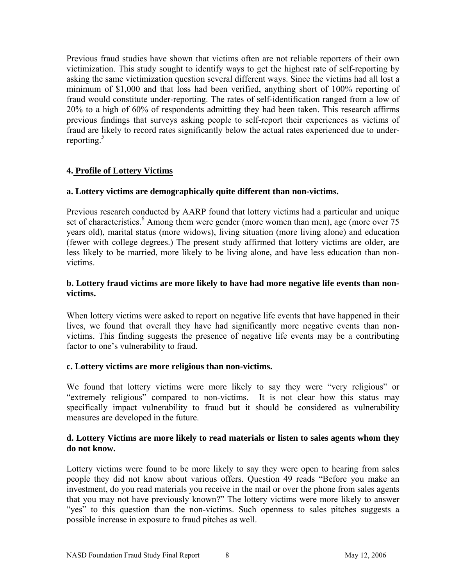Previous fraud studies have shown that victims often are not reliable reporters of their own victimization. This study sought to identify ways to get the highest rate of self-reporting by asking the same victimization question several different ways. Since the victims had all lost a minimum of \$1,000 and that loss had been verified, anything short of 100% reporting of fraud would constitute under-reporting. The rates of self-identification ranged from a low of 20% to a high of 60% of respondents admitting they had been taken. This research affirms previous findings that surveys asking people to self-report their experiences as victims of fraud are likely to record rates significantly below the actual rates experienced due to underreporting. $5$ 

#### **4. Profile of Lottery Victims**

#### **a. Lottery victims are demographically quite different than non-victims.**

Previous research conducted by AARP found that lottery victims had a particular and unique set of characteristics.<sup>6</sup> Among them were gender (more women than men), age (more over 75 years old), marital status (more widows), living situation (more living alone) and education (fewer with college degrees.) The present study affirmed that lottery victims are older, are less likely to be married, more likely to be living alone, and have less education than nonvictims.

#### **b. Lottery fraud victims are more likely to have had more negative life events than nonvictims.**

When lottery victims were asked to report on negative life events that have happened in their lives, we found that overall they have had significantly more negative events than nonvictims. This finding suggests the presence of negative life events may be a contributing factor to one's vulnerability to fraud.

#### **c. Lottery victims are more religious than non-victims.**

We found that lottery victims were more likely to say they were "very religious" or "extremely religious" compared to non-victims. It is not clear how this status may specifically impact vulnerability to fraud but it should be considered as vulnerability measures are developed in the future.

#### **d. Lottery Victims are more likely to read materials or listen to sales agents whom they do not know.**

Lottery victims were found to be more likely to say they were open to hearing from sales people they did not know about various offers. Question 49 reads "Before you make an investment, do you read materials you receive in the mail or over the phone from sales agents that you may not have previously known?" The lottery victims were more likely to answer "yes" to this question than the non-victims. Such openness to sales pitches suggests a possible increase in exposure to fraud pitches as well.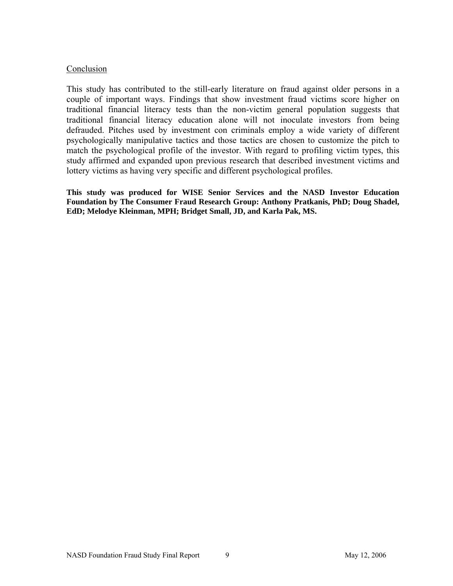#### Conclusion

This study has contributed to the still-early literature on fraud against older persons in a couple of important ways. Findings that show investment fraud victims score higher on traditional financial literacy tests than the non-victim general population suggests that traditional financial literacy education alone will not inoculate investors from being defrauded. Pitches used by investment con criminals employ a wide variety of different psychologically manipulative tactics and those tactics are chosen to customize the pitch to match the psychological profile of the investor. With regard to profiling victim types, this study affirmed and expanded upon previous research that described investment victims and lottery victims as having very specific and different psychological profiles.

**This study was produced for WISE Senior Services and the NASD Investor Education Foundation by The Consumer Fraud Research Group: Anthony Pratkanis, PhD; Doug Shadel, EdD; Melodye Kleinman, MPH; Bridget Small, JD, and Karla Pak, MS.**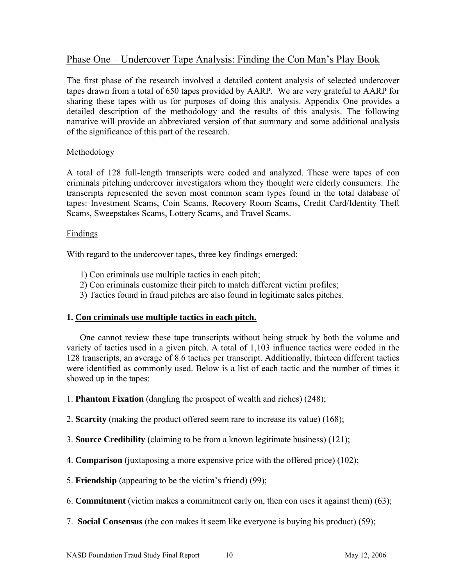## Phase One – Undercover Tape Analysis: Finding the Con Man's Play Book

The first phase of the research involved a detailed content analysis of selected undercover tapes drawn from a total of 650 tapes provided by AARP. We are very grateful to AARP for sharing these tapes with us for purposes of doing this analysis. Appendix One provides a detailed description of the methodology and the results of this analysis. The following narrative will provide an abbreviated version of that summary and some additional analysis of the significance of this part of the research.

#### Methodology

A total of 128 full-length transcripts were coded and analyzed. These were tapes of con criminals pitching undercover investigators whom they thought were elderly consumers. The transcripts represented the seven most common scam types found in the total database of tapes: Investment Scams, Coin Scams, Recovery Room Scams, Credit Card/Identity Theft Scams, Sweepstakes Scams, Lottery Scams, and Travel Scams.

#### Findings

With regard to the undercover tapes, three key findings emerged:

- 1) Con criminals use multiple tactics in each pitch;
- 2) Con criminals customize their pitch to match different victim profiles;
- 3) Tactics found in fraud pitches are also found in legitimate sales pitches.

#### **1. Con criminals use multiple tactics in each pitch.**

 One cannot review these tape transcripts without being struck by both the volume and variety of tactics used in a given pitch. A total of 1,103 influence tactics were coded in the 128 transcripts, an average of 8.6 tactics per transcript. Additionally, thirteen different tactics were identified as commonly used. Below is a list of each tactic and the number of times it showed up in the tapes:

1. **Phantom Fixation** (dangling the prospect of wealth and riches) (248);

2. **Scarcity** (making the product offered seem rare to increase its value) (168);

- 3. **Source Credibility** (claiming to be from a known legitimate business) (121);
- 4. **Comparison** (juxtaposing a more expensive price with the offered price) (102);
- 5. **Friendship** (appearing to be the victim's friend) (99);
- 6. **Commitment** (victim makes a commitment early on, then con uses it against them) (63);
- 7. **Social Consensus** (the con makes it seem like everyone is buying his product) (59);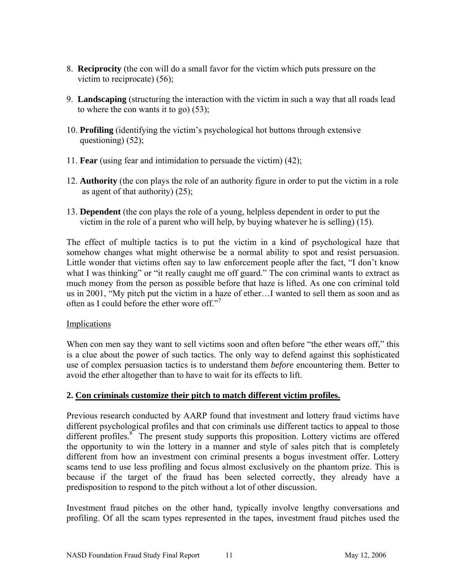- 8. **Reciprocity** (the con will do a small favor for the victim which puts pressure on the victim to reciprocate) (56);
- 9. **Landscaping** (structuring the interaction with the victim in such a way that all roads lead to where the con wants it to go) (53);
- 10. **Profiling** (identifying the victim's psychological hot buttons through extensive questioning) (52);
- 11. **Fear** (using fear and intimidation to persuade the victim) (42);
- 12. **Authority** (the con plays the role of an authority figure in order to put the victim in a role as agent of that authority) (25);
- 13. **Dependent** (the con plays the role of a young, helpless dependent in order to put the victim in the role of a parent who will help, by buying whatever he is selling) (15).

The effect of multiple tactics is to put the victim in a kind of psychological haze that somehow changes what might otherwise be a normal ability to spot and resist persuasion. Little wonder that victims often say to law enforcement people after the fact, "I don't know what I was thinking" or "it really caught me off guard." The con criminal wants to extract as much money from the person as possible before that haze is lifted. As one con criminal told us in 2001, "My pitch put the victim in a haze of ether…I wanted to sell them as soon and as often as I could before the ether wore off."7

#### Implications

When con men say they want to sell victims soon and often before "the ether wears off," this is a clue about the power of such tactics. The only way to defend against this sophisticated use of complex persuasion tactics is to understand them *before* encountering them. Better to avoid the ether altogether than to have to wait for its effects to lift.

#### **2. Con criminals customize their pitch to match different victim profiles.**

Previous research conducted by AARP found that investment and lottery fraud victims have different psychological profiles and that con criminals use different tactics to appeal to those different profiles.<sup>8</sup> The present study supports this proposition. Lottery victims are offered the opportunity to win the lottery in a manner and style of sales pitch that is completely different from how an investment con criminal presents a bogus investment offer. Lottery scams tend to use less profiling and focus almost exclusively on the phantom prize. This is because if the target of the fraud has been selected correctly, they already have a predisposition to respond to the pitch without a lot of other discussion.

Investment fraud pitches on the other hand, typically involve lengthy conversations and profiling. Of all the scam types represented in the tapes, investment fraud pitches used the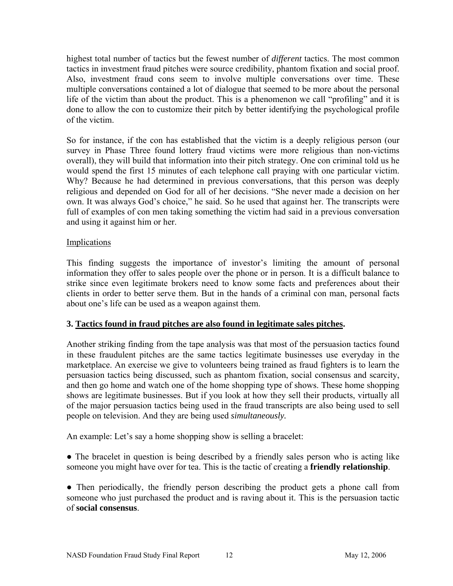highest total number of tactics but the fewest number of *different* tactics. The most common tactics in investment fraud pitches were source credibility, phantom fixation and social proof. Also, investment fraud cons seem to involve multiple conversations over time. These multiple conversations contained a lot of dialogue that seemed to be more about the personal life of the victim than about the product. This is a phenomenon we call "profiling" and it is done to allow the con to customize their pitch by better identifying the psychological profile of the victim.

So for instance, if the con has established that the victim is a deeply religious person (our survey in Phase Three found lottery fraud victims were more religious than non-victims overall), they will build that information into their pitch strategy. One con criminal told us he would spend the first 15 minutes of each telephone call praying with one particular victim. Why? Because he had determined in previous conversations, that this person was deeply religious and depended on God for all of her decisions. "She never made a decision on her own. It was always God's choice," he said. So he used that against her. The transcripts were full of examples of con men taking something the victim had said in a previous conversation and using it against him or her.

#### **Implications**

This finding suggests the importance of investor's limiting the amount of personal information they offer to sales people over the phone or in person. It is a difficult balance to strike since even legitimate brokers need to know some facts and preferences about their clients in order to better serve them. But in the hands of a criminal con man, personal facts about one's life can be used as a weapon against them.

#### **3. Tactics found in fraud pitches are also found in legitimate sales pitches.**

Another striking finding from the tape analysis was that most of the persuasion tactics found in these fraudulent pitches are the same tactics legitimate businesses use everyday in the marketplace. An exercise we give to volunteers being trained as fraud fighters is to learn the persuasion tactics being discussed, such as phantom fixation, social consensus and scarcity, and then go home and watch one of the home shopping type of shows. These home shopping shows are legitimate businesses. But if you look at how they sell their products, virtually all of the major persuasion tactics being used in the fraud transcripts are also being used to sell people on television. And they are being used *simultaneously.* 

An example: Let's say a home shopping show is selling a bracelet:

● The bracelet in question is being described by a friendly sales person who is acting like someone you might have over for tea. This is the tactic of creating a **friendly relationship**.

• Then periodically, the friendly person describing the product gets a phone call from someone who just purchased the product and is raving about it. This is the persuasion tactic of **social consensus**.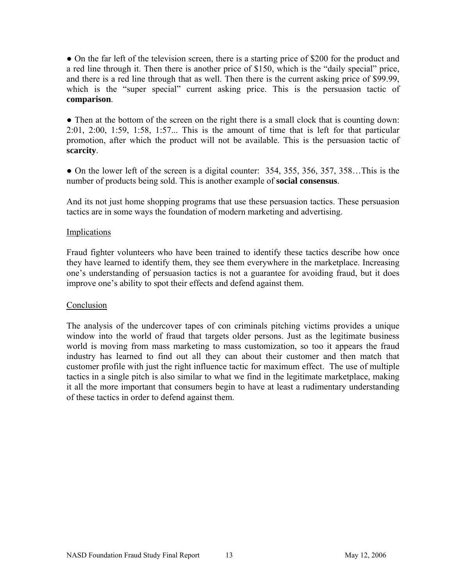• On the far left of the television screen, there is a starting price of \$200 for the product and a red line through it. Then there is another price of \$150, which is the "daily special" price, and there is a red line through that as well. Then there is the current asking price of \$99.99, which is the "super special" current asking price. This is the persuasion tactic of **comparison**.

• Then at the bottom of the screen on the right there is a small clock that is counting down: 2:01, 2:00, 1:59, 1:58, 1:57... This is the amount of time that is left for that particular promotion, after which the product will not be available. This is the persuasion tactic of **scarcity**.

• On the lower left of the screen is a digital counter: 354, 355, 356, 357, 358...This is the number of products being sold. This is another example of **social consensus**.

And its not just home shopping programs that use these persuasion tactics. These persuasion tactics are in some ways the foundation of modern marketing and advertising.

#### Implications

Fraud fighter volunteers who have been trained to identify these tactics describe how once they have learned to identify them, they see them everywhere in the marketplace. Increasing one's understanding of persuasion tactics is not a guarantee for avoiding fraud, but it does improve one's ability to spot their effects and defend against them.

#### Conclusion

The analysis of the undercover tapes of con criminals pitching victims provides a unique window into the world of fraud that targets older persons. Just as the legitimate business world is moving from mass marketing to mass customization, so too it appears the fraud industry has learned to find out all they can about their customer and then match that customer profile with just the right influence tactic for maximum effect. The use of multiple tactics in a single pitch is also similar to what we find in the legitimate marketplace, making it all the more important that consumers begin to have at least a rudimentary understanding of these tactics in order to defend against them.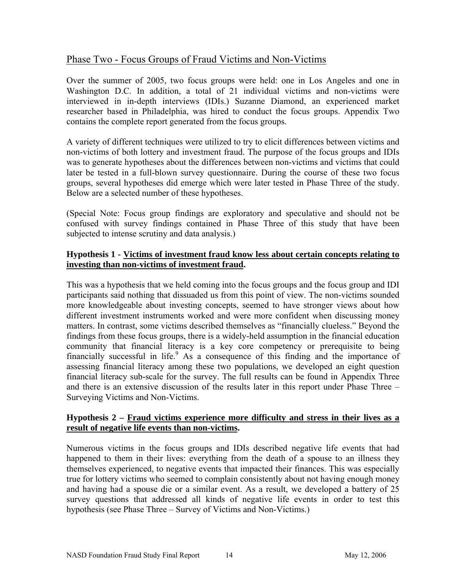## Phase Two - Focus Groups of Fraud Victims and Non-Victims

Over the summer of 2005, two focus groups were held: one in Los Angeles and one in Washington D.C. In addition, a total of 21 individual victims and non-victims were interviewed in in-depth interviews (IDIs.) Suzanne Diamond, an experienced market researcher based in Philadelphia, was hired to conduct the focus groups. Appendix Two contains the complete report generated from the focus groups.

A variety of different techniques were utilized to try to elicit differences between victims and non-victims of both lottery and investment fraud. The purpose of the focus groups and IDIs was to generate hypotheses about the differences between non-victims and victims that could later be tested in a full-blown survey questionnaire. During the course of these two focus groups, several hypotheses did emerge which were later tested in Phase Three of the study. Below are a selected number of these hypotheses.

(Special Note: Focus group findings are exploratory and speculative and should not be confused with survey findings contained in Phase Three of this study that have been subjected to intense scrutiny and data analysis.)

#### **Hypothesis 1 - Victims of investment fraud know less about certain concepts relating to investing than non-victims of investment fraud.**

This was a hypothesis that we held coming into the focus groups and the focus group and IDI participants said nothing that dissuaded us from this point of view. The non-victims sounded more knowledgeable about investing concepts, seemed to have stronger views about how different investment instruments worked and were more confident when discussing money matters. In contrast, some victims described themselves as "financially clueless." Beyond the findings from these focus groups, there is a widely-held assumption in the financial education community that financial literacy is a key core competency or prerequisite to being financially successful in life.<sup>9</sup> As a consequence of this finding and the importance of assessing financial literacy among these two populations, we developed an eight question financial literacy sub-scale for the survey. The full results can be found in Appendix Three and there is an extensive discussion of the results later in this report under Phase Three – Surveying Victims and Non-Victims.

#### **Hypothesis 2 – Fraud victims experience more difficulty and stress in their lives as a result of negative life events than non-victims.**

Numerous victims in the focus groups and IDIs described negative life events that had happened to them in their lives: everything from the death of a spouse to an illness they themselves experienced, to negative events that impacted their finances. This was especially true for lottery victims who seemed to complain consistently about not having enough money and having had a spouse die or a similar event. As a result, we developed a battery of 25 survey questions that addressed all kinds of negative life events in order to test this hypothesis (see Phase Three – Survey of Victims and Non-Victims.)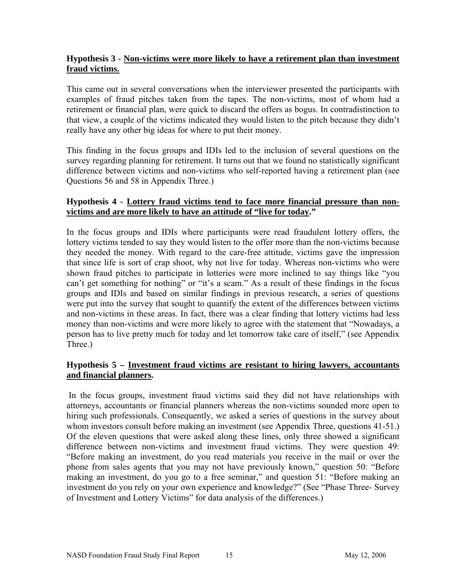#### **Hypothesis 3 - Non-victims were more likely to have a retirement plan than investment fraud victims.**

This came out in several conversations when the interviewer presented the participants with examples of fraud pitches taken from the tapes. The non-victims, most of whom had a retirement or financial plan, were quick to discard the offers as bogus. In contradistinction to that view, a couple of the victims indicated they would listen to the pitch because they didn't really have any other big ideas for where to put their money.

This finding in the focus groups and IDIs led to the inclusion of several questions on the survey regarding planning for retirement. It turns out that we found no statistically significant difference between victims and non-victims who self-reported having a retirement plan (see Questions 56 and 58 in Appendix Three.)

#### **Hypothesis 4 - Lottery fraud victims tend to face more financial pressure than nonvictims and are more likely to have an attitude of "live for today."**

In the focus groups and IDIs where participants were read fraudulent lottery offers, the lottery victims tended to say they would listen to the offer more than the non-victims because they needed the money. With regard to the care-free attitude, victims gave the impression that since life is sort of crap shoot, why not live for today. Whereas non-victims who were shown fraud pitches to participate in lotteries were more inclined to say things like "you can't get something for nothing" or "it's a scam." As a result of these findings in the focus groups and IDIs and based on similar findings in previous research, a series of questions were put into the survey that sought to quantify the extent of the differences between victims and non-victims in these areas. In fact, there was a clear finding that lottery victims had less money than non-victims and were more likely to agree with the statement that "Nowadays, a person has to live pretty much for today and let tomorrow take care of itself," (see Appendix Three.)

#### **Hypothesis 5 – Investment fraud victims are resistant to hiring lawyers, accountants and financial planners.**

 In the focus groups, investment fraud victims said they did not have relationships with attorneys, accountants or financial planners whereas the non-victims sounded more open to hiring such professionals. Consequently, we asked a series of questions in the survey about whom investors consult before making an investment (see Appendix Three, questions 41-51.) Of the eleven questions that were asked along these lines, only three showed a significant difference between non-victims and investment fraud victims. They were question 49: "Before making an investment, do you read materials you receive in the mail or over the phone from sales agents that you may not have previously known," question 50: "Before making an investment, do you go to a free seminar," and question 51: "Before making an investment do you rely on your own experience and knowledge?" (See "Phase Three- Survey of Investment and Lottery Victims" for data analysis of the differences.)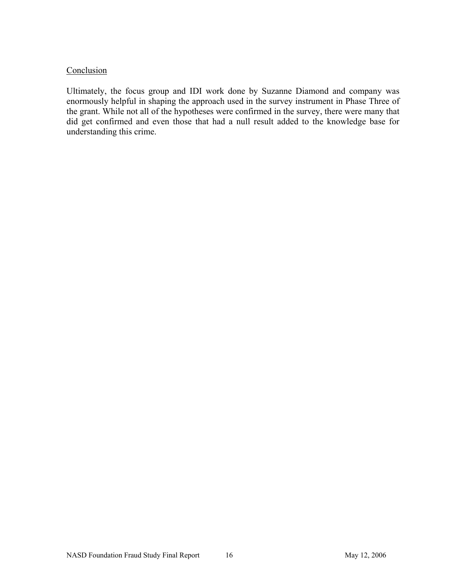#### Conclusion

Ultimately, the focus group and IDI work done by Suzanne Diamond and company was enormously helpful in shaping the approach used in the survey instrument in Phase Three of the grant. While not all of the hypotheses were confirmed in the survey, there were many that did get confirmed and even those that had a null result added to the knowledge base for understanding this crime.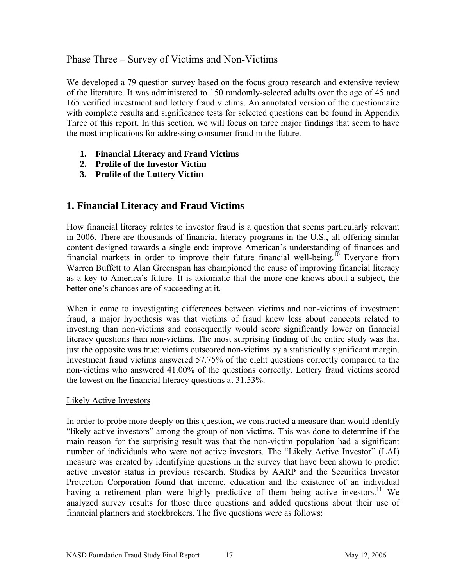## Phase Three – Survey of Victims and Non-Victims

We developed a 79 question survey based on the focus group research and extensive review of the literature. It was administered to 150 randomly-selected adults over the age of 45 and 165 verified investment and lottery fraud victims. An annotated version of the questionnaire with complete results and significance tests for selected questions can be found in Appendix Three of this report. In this section, we will focus on three major findings that seem to have the most implications for addressing consumer fraud in the future.

- **1. Financial Literacy and Fraud Victims**
- **2. Profile of the Investor Victim**
- **3. Profile of the Lottery Victim**

## **1. Financial Literacy and Fraud Victims**

How financial literacy relates to investor fraud is a question that seems particularly relevant in 2006. There are thousands of financial literacy programs in the U.S., all offering similar content designed towards a single end: improve American's understanding of finances and financial markets in order to improve their future financial well-being.<sup>10</sup> Everyone from Warren Buffett to Alan Greenspan has championed the cause of improving financial literacy as a key to America's future. It is axiomatic that the more one knows about a subject, the better one's chances are of succeeding at it.

When it came to investigating differences between victims and non-victims of investment fraud, a major hypothesis was that victims of fraud knew less about concepts related to investing than non-victims and consequently would score significantly lower on financial literacy questions than non-victims. The most surprising finding of the entire study was that just the opposite was true: victims outscored non-victims by a statistically significant margin. Investment fraud victims answered 57.75% of the eight questions correctly compared to the non-victims who answered 41.00% of the questions correctly. Lottery fraud victims scored the lowest on the financial literacy questions at 31.53%.

#### Likely Active Investors

In order to probe more deeply on this question, we constructed a measure than would identify "likely active investors" among the group of non-victims. This was done to determine if the main reason for the surprising result was that the non-victim population had a significant number of individuals who were not active investors. The "Likely Active Investor" (LAI) measure was created by identifying questions in the survey that have been shown to predict active investor status in previous research. Studies by AARP and the Securities Investor Protection Corporation found that income, education and the existence of an individual having a retirement plan were highly predictive of them being active investors.<sup>11</sup> We analyzed survey results for those three questions and added questions about their use of financial planners and stockbrokers. The five questions were as follows: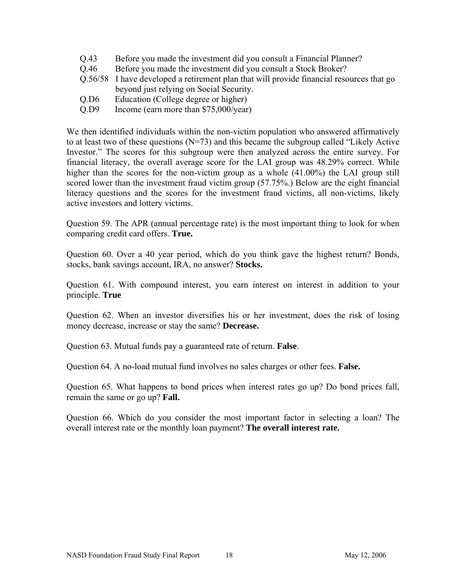- Q.43 Before you made the investment did you consult a Financial Planner?
- Q.46 Before you made the investment did you consult a Stock Broker?
- Q.56/58 I have developed a retirement plan that will provide financial resources that go beyond just relying on Social Security.
- Q.D6 Education (College degree or higher)
- Q.D9 Income (earn more than \$75,000/year)

We then identified individuals within the non-victim population who answered affirmatively to at least two of these questions  $(N=73)$  and this became the subgroup called "Likely Active" Investor." The scores for this subgroup were then analyzed across the entire survey. For financial literacy, the overall average score for the LAI group was 48.29% correct. While higher than the scores for the non-victim group as a whole  $(41.00\%)$  the LAI group still scored lower than the investment fraud victim group (57.75%.) Below are the eight financial literacy questions and the scores for the investment fraud victims, all non-victims, likely active investors and lottery victims.

Question 59. The APR (annual percentage rate) is the most important thing to look for when comparing credit card offers. **True.**

Question 60. Over a 40 year period, which do you think gave the highest return? Bonds, stocks, bank savings account, IRA, no answer? **Stocks.**

Question 61. With compound interest, you earn interest on interest in addition to your principle. **True**

Question 62. When an investor diversifies his or her investment, does the risk of losing money decrease, increase or stay the same? **Decrease.**

Question 63. Mutual funds pay a guaranteed rate of return. **False**.

Question 64. A no-load mutual fund involves no sales charges or other fees. **False.**

Question 65. What happens to bond prices when interest rates go up? Do bond prices fall, remain the same or go up? **Fall.**

Question 66. Which do you consider the most important factor in selecting a loan? The overall interest rate or the monthly loan payment? **The overall interest rate.**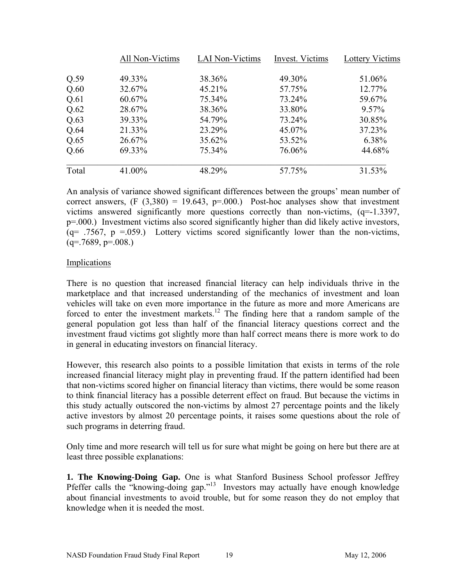|       | All Non-Victims | <b>LAI Non-Victims</b> | Invest. Victims | <b>Lottery Victims</b> |
|-------|-----------------|------------------------|-----------------|------------------------|
| Q.59  | 49.33%          | 38.36%                 | 49.30%          | 51.06%                 |
| Q.60  | 32.67%          | 45.21%                 | 57.75%          | 12.77%                 |
| Q.61  | 60.67%          | 75.34%                 | 73.24%          | 59.67%                 |
| Q.62  | 28.67%          | 38.36%                 | 33.80%          | $9.57\%$               |
| Q.63  | 39.33%          | 54.79%                 | 73.24%          | 30.85%                 |
| Q.64  | 21.33%          | 23.29%                 | 45.07%          | 37.23%                 |
| Q.65  | 26.67%          | 35.62%                 | 53.52%          | 6.38%                  |
| Q.66  | 69.33%          | 75.34%                 | 76.06%          | 44.68%                 |
| Total | 41.00%          | 48.29%                 | 57.75%          | 31.53%                 |

An analysis of variance showed significant differences between the groups' mean number of correct answers,  $(F (3,380) = 19.643, p = .000.)$  Post-hoc analyses show that investment victims answered significantly more questions correctly than non-victims, (q=-1.3397, p=.000.) Investment victims also scored significantly higher than did likely active investors,  $(q= .7567, p = .059.)$  Lottery victims scored significantly lower than the non-victims,  $(q=.7689, p=.008.)$ 

#### Implications

There is no question that increased financial literacy can help individuals thrive in the marketplace and that increased understanding of the mechanics of investment and loan vehicles will take on even more importance in the future as more and more Americans are forced to enter the investment markets.<sup>12</sup> The finding here that a random sample of the general population got less than half of the financial literacy questions correct and the investment fraud victims got slightly more than half correct means there is more work to do in general in educating investors on financial literacy.

However, this research also points to a possible limitation that exists in terms of the role increased financial literacy might play in preventing fraud. If the pattern identified had been that non-victims scored higher on financial literacy than victims, there would be some reason to think financial literacy has a possible deterrent effect on fraud. But because the victims in this study actually outscored the non-victims by almost 27 percentage points and the likely active investors by almost 20 percentage points, it raises some questions about the role of such programs in deterring fraud.

Only time and more research will tell us for sure what might be going on here but there are at least three possible explanations:

**1. The Knowing-Doing Gap.** One is what Stanford Business School professor Jeffrey Pfeffer calls the "knowing-doing gap."<sup>13</sup> Investors may actually have enough knowledge about financial investments to avoid trouble, but for some reason they do not employ that knowledge when it is needed the most.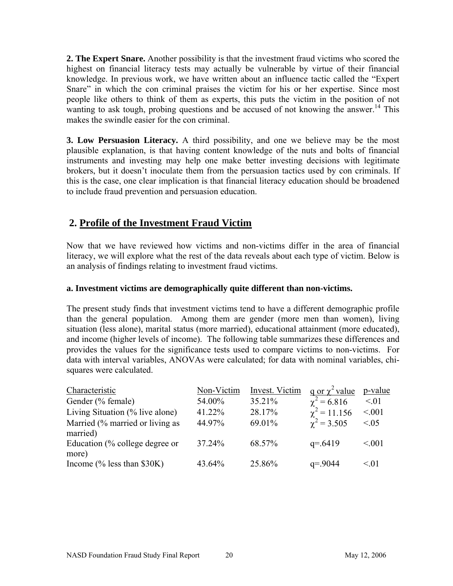**2. The Expert Snare.** Another possibility is that the investment fraud victims who scored the highest on financial literacy tests may actually be vulnerable by virtue of their financial knowledge. In previous work, we have written about an influence tactic called the "Expert Snare" in which the con criminal praises the victim for his or her expertise. Since most people like others to think of them as experts, this puts the victim in the position of not wanting to ask tough, probing questions and be accused of not knowing the answer.<sup>14</sup> This makes the swindle easier for the con criminal.

**3. Low Persuasion Literacy.** A third possibility, and one we believe may be the most plausible explanation, is that having content knowledge of the nuts and bolts of financial instruments and investing may help one make better investing decisions with legitimate brokers, but it doesn't inoculate them from the persuasion tactics used by con criminals. If this is the case, one clear implication is that financial literacy education should be broadened to include fraud prevention and persuasion education.

## **2. Profile of the Investment Fraud Victim**

Now that we have reviewed how victims and non-victims differ in the area of financial literacy, we will explore what the rest of the data reveals about each type of victim. Below is an analysis of findings relating to investment fraud victims.

#### **a. Investment victims are demographically quite different than non-victims.**

The present study finds that investment victims tend to have a different demographic profile than the general population. Among them are gender (more men than women), living situation (less alone), marital status (more married), educational attainment (more educated), and income (higher levels of income). The following table summarizes these differences and provides the values for the significance tests used to compare victims to non-victims. For data with interval variables, ANOVAs were calculated; for data with nominal variables, chisquares were calculated.

| Characteristic                        | Non-Victim | Invest. Victim | $\frac{q}{q}$ or $\chi^2$ value | p-value   |
|---------------------------------------|------------|----------------|---------------------------------|-----------|
| Gender (% female)                     | 54.00%     | 35.21%         | $\gamma^2 = 6.816$              | $\leq 01$ |
| Living Situation $(\%$ live alone)    | 41.22%     | 28.17%         | $\chi^2 = 11.156$               | < 0.01    |
| Married (% married or living as       | 44.97%     | 69.01%         | $\chi^2$ = 3.505                | < 0.05    |
| married)                              |            |                |                                 |           |
| Education (% college degree or        | 37.24%     | 68.57%         | $q = 6419$                      | < 0.01    |
| more)                                 |            |                |                                 |           |
| Income $\frac{6}{6}$ less than \$30K) | 43.64%     | 25.86%         | $q = 9044$                      | $\leq 01$ |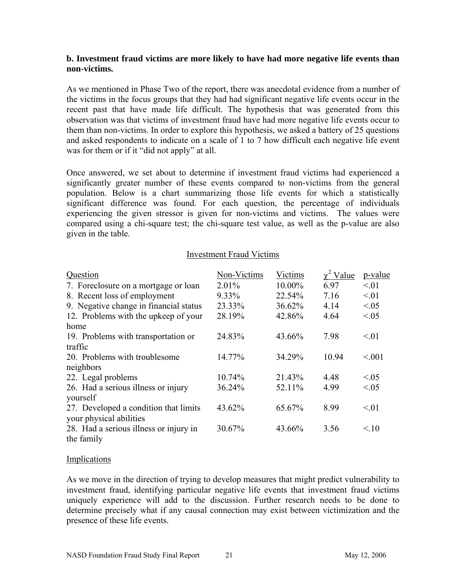#### **b. Investment fraud victims are more likely to have had more negative life events than non-victims.**

As we mentioned in Phase Two of the report, there was anecdotal evidence from a number of the victims in the focus groups that they had had significant negative life events occur in the recent past that have made life difficult. The hypothesis that was generated from this observation was that victims of investment fraud have had more negative life events occur to them than non-victims. In order to explore this hypothesis, we asked a battery of 25 questions and asked respondents to indicate on a scale of 1 to 7 how difficult each negative life event was for them or if it "did not apply" at all.

Once answered, we set about to determine if investment fraud victims had experienced a significantly greater number of these events compared to non-victims from the general population. Below is a chart summarizing those life events for which a statistically significant difference was found. For each question, the percentage of individuals experiencing the given stressor is given for non-victims and victims. The values were compared using a chi-square test; the chi-square test value, as well as the p-value are also given in the table.

#### Investment Fraud Victims

| Question                               | Non-Victims | Victims | $\gamma^2$ Value | p-value   |
|----------------------------------------|-------------|---------|------------------|-----------|
| 7. Foreclosure on a mortgage or loan   | $2.01\%$    | 10.00%  | 6.97             | $\leq 01$ |
| 8. Recent loss of employment           | 9.33%       | 22.54%  | 7.16             | < 01      |
| 9. Negative change in financial status | 23.33%      | 36.62%  | 4.14             | < 0.05    |
| 12. Problems with the upkeep of your   | 28.19%      | 42.86%  | 4.64             | < 0.05    |
| home                                   |             |         |                  |           |
| 19. Problems with transportation or    | 24.83%      | 43.66%  | 7.98             | $\leq 01$ |
| traffic                                |             |         |                  |           |
| 20. Problems with troublesome          | 14.77%      | 34.29%  | 10.94            | < 0.01    |
| neighbors                              |             |         |                  |           |
| 22. Legal problems                     | 10.74%      | 21.43%  | 4.48             | < 0.05    |
| 26. Had a serious illness or injury    | 36.24%      | 52.11%  | 4.99             | < 0.05    |
| yourself                               |             |         |                  |           |
| 27. Developed a condition that limits  | 43.62%      | 65.67%  | 8.99             | < 01      |
| your physical abilities                |             |         |                  |           |
| 28. Had a serious illness or injury in | 30.67%      | 43.66%  | 3.56             | 10        |
| the family                             |             |         |                  |           |

#### **Implications**

As we move in the direction of trying to develop measures that might predict vulnerability to investment fraud, identifying particular negative life events that investment fraud victims uniquely experience will add to the discussion. Further research needs to be done to determine precisely what if any causal connection may exist between victimization and the presence of these life events.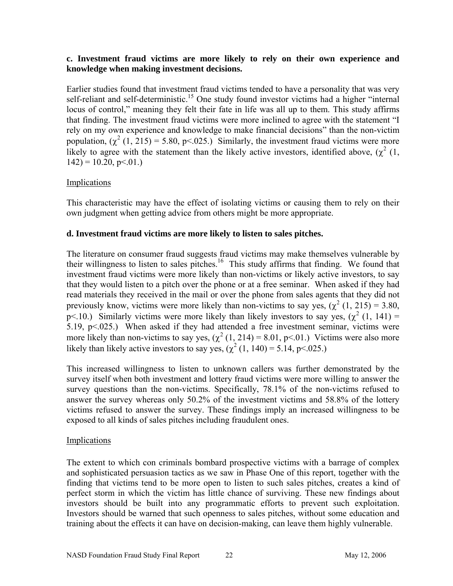#### **c. Investment fraud victims are more likely to rely on their own experience and knowledge when making investment decisions.**

Earlier studies found that investment fraud victims tended to have a personality that was very self-reliant and self-deterministic.<sup>15</sup> One study found investor victims had a higher "internal" locus of control," meaning they felt their fate in life was all up to them. This study affirms that finding. The investment fraud victims were more inclined to agree with the statement "I rely on my own experience and knowledge to make financial decisions" than the non-victim population,  $(\chi^2 (1, 215) = 5.80, \text{ p} < 0.025)$ . Similarly, the investment fraud victims were more likely to agree with the statement than the likely active investors, identified above,  $(\chi^2(1,$  $142$ ) = 10.20, p < 01.)

#### **Implications**

This characteristic may have the effect of isolating victims or causing them to rely on their own judgment when getting advice from others might be more appropriate.

#### **d. Investment fraud victims are more likely to listen to sales pitches.**

The literature on consumer fraud suggests fraud victims may make themselves vulnerable by their willingness to listen to sales pitches.<sup>16</sup> This study affirms that finding. We found that investment fraud victims were more likely than non-victims or likely active investors, to say that they would listen to a pitch over the phone or at a free seminar. When asked if they had read materials they received in the mail or over the phone from sales agents that they did not previously know, victims were more likely than non-victims to say yes,  $(\chi^2(1, 215) = 3.80,$ p<.10.) Similarly victims were more likely than likely investors to say yes,  $(\chi^2(1, 141) =$ 5.19, p<.025.) When asked if they had attended a free investment seminar, victims were more likely than non-victims to say yes,  $(\chi^2(1, 214) = 8.01, \text{ p} < 0.01)$  Victims were also more likely than likely active investors to say yes,  $(\chi^2 (1, 140) = 5.14, p < 0.025)$ 

This increased willingness to listen to unknown callers was further demonstrated by the survey itself when both investment and lottery fraud victims were more willing to answer the survey questions than the non-victims. Specifically, 78.1% of the non-victims refused to answer the survey whereas only 50.2% of the investment victims and 58.8% of the lottery victims refused to answer the survey. These findings imply an increased willingness to be exposed to all kinds of sales pitches including fraudulent ones.

#### Implications

The extent to which con criminals bombard prospective victims with a barrage of complex and sophisticated persuasion tactics as we saw in Phase One of this report, together with the finding that victims tend to be more open to listen to such sales pitches, creates a kind of perfect storm in which the victim has little chance of surviving. These new findings about investors should be built into any programmatic efforts to prevent such exploitation. Investors should be warned that such openness to sales pitches, without some education and training about the effects it can have on decision-making, can leave them highly vulnerable.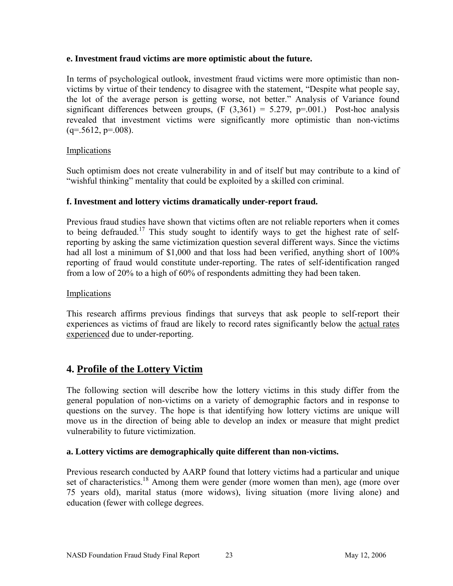#### **e. Investment fraud victims are more optimistic about the future.**

In terms of psychological outlook, investment fraud victims were more optimistic than nonvictims by virtue of their tendency to disagree with the statement, "Despite what people say, the lot of the average person is getting worse, not better." Analysis of Variance found significant differences between groups,  $(F (3,361) = 5.279, p=001.)$  Post-hoc analysis revealed that investment victims were significantly more optimistic than non-victims  $(q=.5612, p=.008)$ .

#### Implications

Such optimism does not create vulnerability in and of itself but may contribute to a kind of "wishful thinking" mentality that could be exploited by a skilled con criminal.

#### **f. Investment and lottery victims dramatically under-report fraud.**

Previous fraud studies have shown that victims often are not reliable reporters when it comes to being defrauded.<sup>17</sup> This study sought to identify ways to get the highest rate of selfreporting by asking the same victimization question several different ways. Since the victims had all lost a minimum of \$1,000 and that loss had been verified, anything short of 100% reporting of fraud would constitute under-reporting. The rates of self-identification ranged from a low of 20% to a high of 60% of respondents admitting they had been taken.

#### Implications

This research affirms previous findings that surveys that ask people to self-report their experiences as victims of fraud are likely to record rates significantly below the actual rates experienced due to under-reporting.

## **4. Profile of the Lottery Victim**

The following section will describe how the lottery victims in this study differ from the general population of non-victims on a variety of demographic factors and in response to questions on the survey. The hope is that identifying how lottery victims are unique will move us in the direction of being able to develop an index or measure that might predict vulnerability to future victimization.

#### **a. Lottery victims are demographically quite different than non-victims.**

Previous research conducted by AARP found that lottery victims had a particular and unique set of characteristics.<sup>18</sup> Among them were gender (more women than men), age (more over 75 years old), marital status (more widows), living situation (more living alone) and education (fewer with college degrees.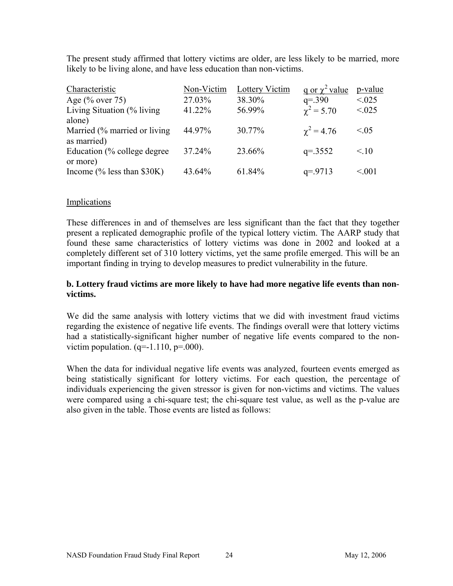The present study affirmed that lottery victims are older, are less likely to be married, more likely to be living alone, and have less education than non-victims.

| Characteristic                | Non-Victim | Lottery Victim | q or $\chi^2$ value | p-value         |
|-------------------------------|------------|----------------|---------------------|-----------------|
| Age $(\%$ over 75)            | 27.03%     | 38.30%         | $q = 390$           | < 0.025         |
| Living Situation (% living)   | 41.22%     | 56.99%         | $\chi^2 = 5.70$     | < 0.025         |
| alone)                        |            |                |                     |                 |
| Married (% married or living) | 44.97%     | 30.77%         | $\gamma^2 = 4.76$   | ${}_{\leq 0.5}$ |
| as married)                   |            |                |                     |                 |
| Education (% college degree)  | 37.24%     | 23.66%         | $q = 3552$          | < 10            |
| or more)                      |            |                |                     |                 |
| Income $%$ less than \$30K)   | 43.64%     | 61.84%         | $q = 9713$          | < 0.01          |

#### Implications

These differences in and of themselves are less significant than the fact that they together present a replicated demographic profile of the typical lottery victim. The AARP study that found these same characteristics of lottery victims was done in 2002 and looked at a completely different set of 310 lottery victims, yet the same profile emerged. This will be an important finding in trying to develop measures to predict vulnerability in the future.

#### **b. Lottery fraud victims are more likely to have had more negative life events than nonvictims.**

We did the same analysis with lottery victims that we did with investment fraud victims regarding the existence of negative life events. The findings overall were that lottery victims had a statistically-significant higher number of negative life events compared to the nonvictim population.  $(q=1.110, p=.000)$ .

When the data for individual negative life events was analyzed, fourteen events emerged as being statistically significant for lottery victims. For each question, the percentage of individuals experiencing the given stressor is given for non-victims and victims. The values were compared using a chi-square test; the chi-square test value, as well as the p-value are also given in the table. Those events are listed as follows: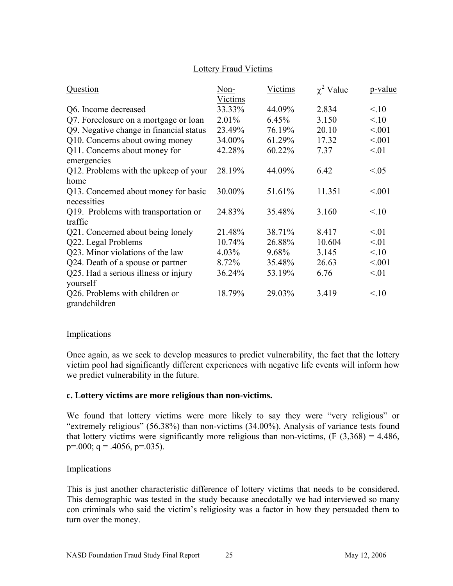#### Lottery Fraud Victims

| Question                                        | Non-<br>Victims | Victims | $\chi^2$ Value | p-value |
|-------------------------------------------------|-----------------|---------|----------------|---------|
| Q6. Income decreased                            | 33.33%          | 44.09%  | 2.834          | 10      |
| Q7. Foreclosure on a mortgage or loan           | 2.01%           | 6.45%   | 3.150          | 10      |
| Q9. Negative change in financial status         | 23.49%          | 76.19%  | 20.10          | < 0.01  |
| Q10. Concerns about owing money                 | 34.00%          | 61.29%  | 17.32          | < 0.01  |
| Q11. Concerns about money for                   | 42.28%          | 60.22%  | 7.37           | < 01    |
| emergencies                                     |                 |         |                |         |
| Q12. Problems with the upkeep of your           | 28.19%          | 44.09%  | 6.42           | <05     |
| home                                            |                 |         |                |         |
| Q13. Concerned about money for basic            | 30.00%          | 51.61%  | 11.351         | < 0.01  |
| necessities                                     |                 |         |                |         |
| Q19. Problems with transportation or            | 24.83%          | 35.48%  | 3.160          | 10      |
| traffic                                         |                 |         |                |         |
| Q21. Concerned about being lonely               | 21.48%          | 38.71%  | 8.417          | < 01    |
| Q22. Legal Problems                             | 10.74%          | 26.88%  | 10.604         | < 01    |
| Q23. Minor violations of the law                | 4.03%           | 9.68%   | 3.145          | 10      |
| Q24. Death of a spouse or partner               | 8.72%           | 35.48%  | 26.63          | < 0.01  |
| Q25. Had a serious illness or injury            | 36.24%          | 53.19%  | 6.76           | < 01    |
| yourself                                        |                 |         |                |         |
| Q26. Problems with children or<br>grandchildren | 18.79%          | 29.03%  | 3.419          | 10      |

#### Implications

Once again, as we seek to develop measures to predict vulnerability, the fact that the lottery victim pool had significantly different experiences with negative life events will inform how we predict vulnerability in the future.

#### **c. Lottery victims are more religious than non-victims.**

We found that lottery victims were more likely to say they were "very religious" or "extremely religious" (56.38%) than non-victims (34.00%). Analysis of variance tests found that lottery victims were significantly more religious than non-victims,  $(F (3,368) = 4.486)$ ,  $p=.000; q=.4056, p=.035$ ).

#### **Implications**

This is just another characteristic difference of lottery victims that needs to be considered. This demographic was tested in the study because anecdotally we had interviewed so many con criminals who said the victim's religiosity was a factor in how they persuaded them to turn over the money.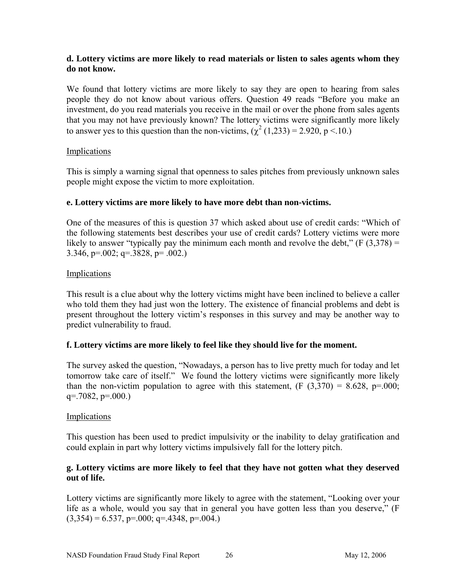#### **d. Lottery victims are more likely to read materials or listen to sales agents whom they do not know.**

We found that lottery victims are more likely to say they are open to hearing from sales people they do not know about various offers. Question 49 reads "Before you make an investment, do you read materials you receive in the mail or over the phone from sales agents that you may not have previously known? The lottery victims were significantly more likely to answer yes to this question than the non-victims,  $(\chi^2 (1,233) = 2.920, p < 10.)$ 

#### Implications

This is simply a warning signal that openness to sales pitches from previously unknown sales people might expose the victim to more exploitation.

#### **e. Lottery victims are more likely to have more debt than non-victims.**

One of the measures of this is question 37 which asked about use of credit cards: "Which of the following statements best describes your use of credit cards? Lottery victims were more likely to answer "typically pay the minimum each month and revolve the debt,"  $(F (3,378) =$ 3.346, p=.002; q=.3828, p= .002.)

#### Implications

This result is a clue about why the lottery victims might have been inclined to believe a caller who told them they had just won the lottery. The existence of financial problems and debt is present throughout the lottery victim's responses in this survey and may be another way to predict vulnerability to fraud.

#### **f. Lottery victims are more likely to feel like they should live for the moment.**

The survey asked the question, "Nowadays, a person has to live pretty much for today and let tomorrow take care of itself." We found the lottery victims were significantly more likely than the non-victim population to agree with this statement,  $(F (3,370) = 8.628, p=000;$  $q = .7082, p = .000.$ 

#### **Implications**

This question has been used to predict impulsivity or the inability to delay gratification and could explain in part why lottery victims impulsively fall for the lottery pitch.

#### **g. Lottery victims are more likely to feel that they have not gotten what they deserved out of life.**

Lottery victims are significantly more likely to agree with the statement, "Looking over your life as a whole, would you say that in general you have gotten less than you deserve," (F  $(3,354) = 6.537$ , p=.000; q=.4348, p=.004.)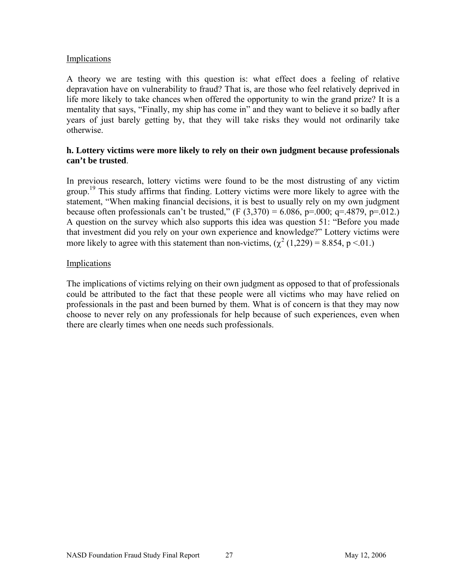#### Implications

A theory we are testing with this question is: what effect does a feeling of relative depravation have on vulnerability to fraud? That is, are those who feel relatively deprived in life more likely to take chances when offered the opportunity to win the grand prize? It is a mentality that says, "Finally, my ship has come in" and they want to believe it so badly after years of just barely getting by, that they will take risks they would not ordinarily take otherwise.

#### **h. Lottery victims were more likely to rely on their own judgment because professionals can't be trusted**.

In previous research, lottery victims were found to be the most distrusting of any victim group.<sup>19</sup> This study affirms that finding. Lottery victims were more likely to agree with the statement, "When making financial decisions, it is best to usually rely on my own judgment because often professionals can't be trusted,"  $(F (3,370) = 6.086, p = .000; q = .4879, p = .012.)$ A question on the survey which also supports this idea was question 51: "Before you made that investment did you rely on your own experience and knowledge?" Lottery victims were more likely to agree with this statement than non-victims,  $(\chi^2 (1,229) = 8.854, p \le 01)$ .

#### Implications

The implications of victims relying on their own judgment as opposed to that of professionals could be attributed to the fact that these people were all victims who may have relied on professionals in the past and been burned by them. What is of concern is that they may now choose to never rely on any professionals for help because of such experiences, even when there are clearly times when one needs such professionals.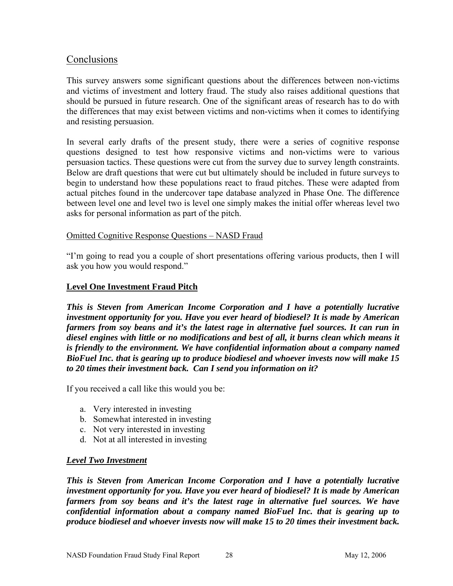## **Conclusions**

This survey answers some significant questions about the differences between non-victims and victims of investment and lottery fraud. The study also raises additional questions that should be pursued in future research. One of the significant areas of research has to do with the differences that may exist between victims and non-victims when it comes to identifying and resisting persuasion.

In several early drafts of the present study, there were a series of cognitive response questions designed to test how responsive victims and non-victims were to various persuasion tactics. These questions were cut from the survey due to survey length constraints. Below are draft questions that were cut but ultimately should be included in future surveys to begin to understand how these populations react to fraud pitches. These were adapted from actual pitches found in the undercover tape database analyzed in Phase One. The difference between level one and level two is level one simply makes the initial offer whereas level two asks for personal information as part of the pitch.

#### Omitted Cognitive Response Questions – NASD Fraud

"I'm going to read you a couple of short presentations offering various products, then I will ask you how you would respond."

#### **Level One Investment Fraud Pitch**

*This is Steven from American Income Corporation and I have a potentially lucrative investment opportunity for you. Have you ever heard of biodiesel? It is made by American farmers from soy beans and it's the latest rage in alternative fuel sources. It can run in diesel engines with little or no modifications and best of all, it burns clean which means it is friendly to the environment. We have confidential information about a company named BioFuel Inc. that is gearing up to produce biodiesel and whoever invests now will make 15 to 20 times their investment back. Can I send you information on it?* 

If you received a call like this would you be:

- a. Very interested in investing
- b. Somewhat interested in investing
- c. Not very interested in investing
- d. Not at all interested in investing

#### *Level Two Investment*

*This is Steven from American Income Corporation and I have a potentially lucrative investment opportunity for you. Have you ever heard of biodiesel? It is made by American farmers from soy beans and it's the latest rage in alternative fuel sources. We have confidential information about a company named BioFuel Inc. that is gearing up to produce biodiesel and whoever invests now will make 15 to 20 times their investment back.*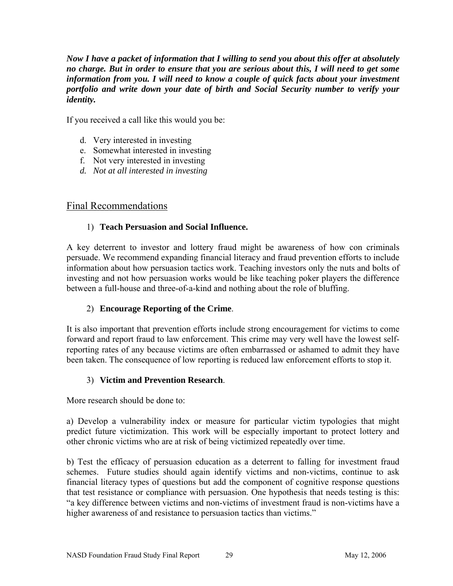*Now I have a packet of information that I willing to send you about this offer at absolutely no charge. But in order to ensure that you are serious about this, I will need to get some information from you. I will need to know a couple of quick facts about your investment portfolio and write down your date of birth and Social Security number to verify your identity.* 

If you received a call like this would you be:

- d. Very interested in investing
- e. Somewhat interested in investing
- f. Not very interested in investing
- *d. Not at all interested in investing*

## Final Recommendations

#### 1) **Teach Persuasion and Social Influence.**

A key deterrent to investor and lottery fraud might be awareness of how con criminals persuade. We recommend expanding financial literacy and fraud prevention efforts to include information about how persuasion tactics work. Teaching investors only the nuts and bolts of investing and not how persuasion works would be like teaching poker players the difference between a full-house and three-of-a-kind and nothing about the role of bluffing.

## 2) **Encourage Reporting of the Crime**.

It is also important that prevention efforts include strong encouragement for victims to come forward and report fraud to law enforcement. This crime may very well have the lowest selfreporting rates of any because victims are often embarrassed or ashamed to admit they have been taken. The consequence of low reporting is reduced law enforcement efforts to stop it.

#### 3) **Victim and Prevention Research**.

More research should be done to:

a) Develop a vulnerability index or measure for particular victim typologies that might predict future victimization. This work will be especially important to protect lottery and other chronic victims who are at risk of being victimized repeatedly over time.

b) Test the efficacy of persuasion education as a deterrent to falling for investment fraud schemes. Future studies should again identify victims and non-victims, continue to ask financial literacy types of questions but add the component of cognitive response questions that test resistance or compliance with persuasion. One hypothesis that needs testing is this: "a key difference between victims and non-victims of investment fraud is non-victims have a higher awareness of and resistance to persuasion tactics than victims."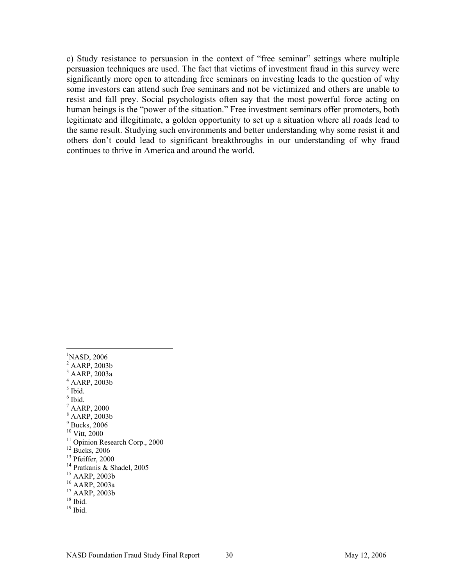c) Study resistance to persuasion in the context of "free seminar" settings where multiple persuasion techniques are used. The fact that victims of investment fraud in this survey were significantly more open to attending free seminars on investing leads to the question of why some investors can attend such free seminars and not be victimized and others are unable to resist and fall prey. Social psychologists often say that the most powerful force acting on human beings is the "power of the situation." Free investment seminars offer promoters, both legitimate and illegitimate, a golden opportunity to set up a situation where all roads lead to the same result. Studying such environments and better understanding why some resist it and others don't could lead to significant breakthroughs in our understanding of why fraud continues to thrive in America and around the world.

 $\overline{a}$ <sup>1</sup>NASD, 2006 2 AARP, 2003b 3 AARP, 2003a 4 AARP, 2003b  $<sup>5</sup>$  Ibid.</sup> 6 Ibid. 7 AARP, 2000 8 AARP, 2003b 9 Bucks, 2006 10 Vitt, 2000  $\frac{11}{11}$  Opinion Research Corp., 2000  $12$  Bucks, 2006  $13$  Pfeiffer, 2000 14 Pratkanis & Shadel, 2005 15 AARP, 2003b 16 AARP, 2003a  $^{17}$  AARP, 2003b  $18$  Ibid.  $19$  Ibid.